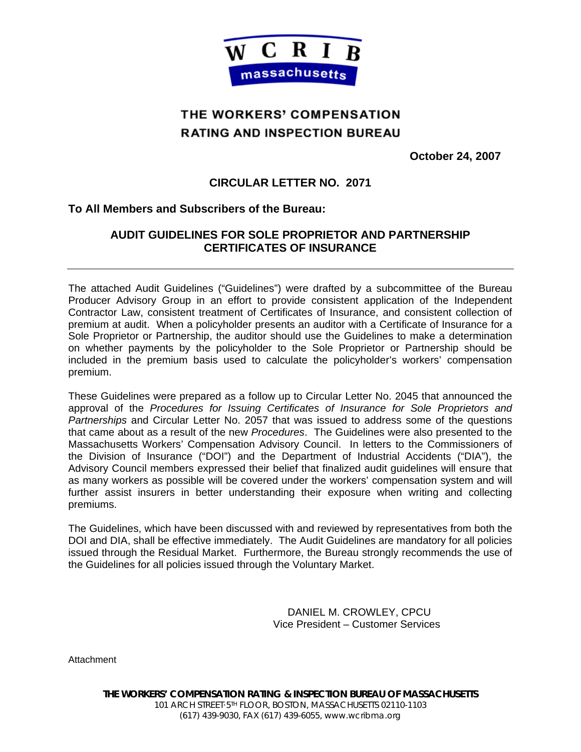

# THE WORKERS' COMPENSATION **RATING AND INSPECTION BUREAU**

**October 24, 2007** 

## **CIRCULAR LETTER NO. 2071**

### **To All Members and Subscribers of the Bureau:**

## **AUDIT GUIDELINES FOR SOLE PROPRIETOR AND PARTNERSHIP CERTIFICATES OF INSURANCE**

The attached Audit Guidelines ("Guidelines") were drafted by a subcommittee of the Bureau Producer Advisory Group in an effort to provide consistent application of the Independent Contractor Law, consistent treatment of Certificates of Insurance, and consistent collection of premium at audit. When a policyholder presents an auditor with a Certificate of Insurance for a Sole Proprietor or Partnership, the auditor should use the Guidelines to make a determination on whether payments by the policyholder to the Sole Proprietor or Partnership should be included in the premium basis used to calculate the policyholder's workers' compensation premium.

These Guidelines were prepared as a follow up to Circular Letter No. 2045 that announced the approval of the *Procedures for Issuing Certificates of Insurance for Sole Proprietors and Partnerships* and Circular Letter No. 2057 that was issued to address some of the questions that came about as a result of the new *Procedures*. The Guidelines were also presented to the Massachusetts Workers' Compensation Advisory Council. In letters to the Commissioners of the Division of Insurance ("DOI") and the Department of Industrial Accidents ("DIA"), the Advisory Council members expressed their belief that finalized audit guidelines will ensure that as many workers as possible will be covered under the workers' compensation system and will further assist insurers in better understanding their exposure when writing and collecting premiums.

The Guidelines, which have been discussed with and reviewed by representatives from both the DOI and DIA, shall be effective immediately. The Audit Guidelines are mandatory for all policies issued through the Residual Market. Furthermore, the Bureau strongly recommends the use of the Guidelines for all policies issued through the Voluntary Market.

> DANIEL M. CROWLEY, CPCU Vice President – Customer Services

**Attachment**